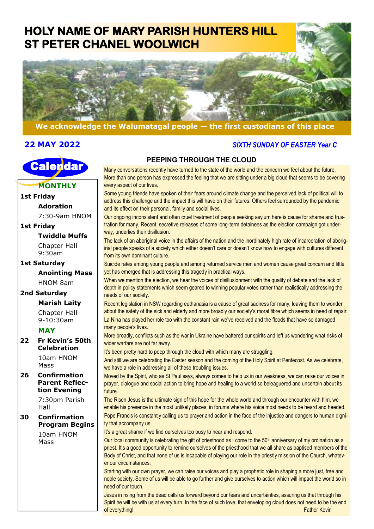## **HOLY NAME OF MARY PARISH HUNTERS HILL ST PETER CHANEL WOOLWICH**



#### **We acknowledge the Walumatagal people — the first custodians of this place**

#### **22 MAY 2022**



**MONTHLY**

#### **1st Friday Adoration** 7:30-9am HNOM **1st Friday Twiddle Muffs** Chapter Hall 9:30am **1st Saturday Anointing Mass** HNOM 8am **2nd Saturday Marish Laity** needs of our society.

Chapter Hall 9-10:30am

#### **MAY**

**22 Fr Kevin's 50th Celebration** 10am HNOM

Mass

**26 Confirmation Parent Reflection Evening**

7:30pm Parish Hall

**30 Confirmation Program Begins**

> 10am HNOM Mass

### **PEEPING THROUGH THE CLOUD**

 *SIXTH SUNDAY OF EASTER Year C*

Many conversations recently have turned to the state of the world and the concern we feel about the future. More than one person has expressed the feeling that we are sitting under a big cloud that seems to be covering every aspect of our lives.

Some young friends have spoken of their fears around climate change and the perceived lack of political will to address this challenge and the impact this will have on their futures. Others feel surrounded by the pandemic and its effect on their personal, family and social lives.

Our ongoing inconsistent and often cruel treatment of people seeking asylum here is cause for shame and frustration for many. Recent, secretive releases of some long-term detainees as the election campaign got underway, underlies their disillusion.

The lack of an aboriginal voice in the affairs of the nation and the inordinately high rate of incarceration of aboriginal people speaks of a society which either doesn't care or doesn't know how to engage with cultures different from its own dominant culture.

Suicide rates among young people and among returned service men and women cause great concern and little yet has emerged that is addressing this tragedy in practical ways.

When we mention the election, we hear the voices of disillusionment with the quality of debate and the lack of depth in policy statements which seem geared to winning popular votes rather than realistically addressing the

Recent legislation in NSW regarding euthanasia is a cause of great sadness for many, leaving them to wonder about the safety of the sick and elderly and more broadly our society's moral fibre which seems in need of repair. La Nina has played her role too with the constant rain we've received and the floods that have so damaged many people's lives.

More broadly, conflicts such as the war in Ukraine have battered our spirits and left us wondering what risks of wider warfare are not far away.

It's been pretty hard to peep through the cloud with which many are struggling.

And still we are celebrating the Easter season and the coming of the Holy Spirit at Pentecost. As we celebrate, we have a role in addressing all of these troubling issues.

Moved by the Spirit, who as St Paul says, always comes to help us in our weakness, we can raise our voices in prayer, dialogue and social action to bring hope and healing to a world so beleaguered and uncertain about its future.

The Risen Jesus is the ultimate sign of this hope for the whole world and through our encounter with him, we enable his presence in the most unlikely places, in forums where his voice most needs to be heard and heeded. Pope Francis is constantly calling us to prayer and action in the face of the injustice and dangers to human digni-

ty that accompany us.

It's a great shame if we find ourselves too busy to hear and respond.

Our local community is celebrating the gift of priesthood as I come to the  $50<sup>th</sup>$  anniversary of my ordination as a priest. It's a good opportunity to remind ourselves of the priesthood that we all share as baptised members of the Body of Christ, and that none of us is incapable of playing our role in the priestly mission of the Church, whatever our circumstances.

Starting with our own prayer, we can raise our voices and play a prophetic role in shaping a more just, free and noble society. Some of us will be able to go further and give ourselves to action which will impact the world so in need of our touch.

Jesus in rising from the dead calls us forward beyond our fears and uncertainties, assuring us that through his Spirit he will be with us at every turn. In the face of such love, that enveloping cloud does not need to be the end of everything! Father Kevin and the control of everything!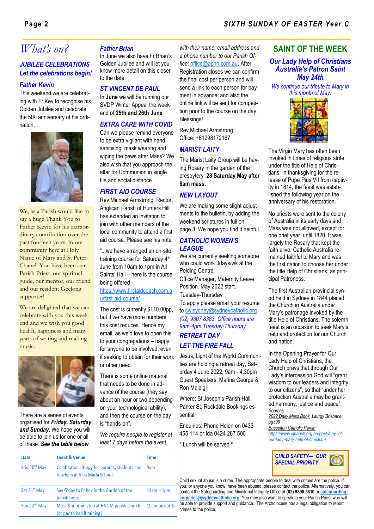#### **Page 2** *SIXTH SUNDAY OF EASTER Year C*

## *What's on? Father Brian*

#### *JUBILEE CELEBRATIONS Let the celebrations begin!*

#### *Father Kevin*

This weekend we are celebrating with Fr Kev to recognise his Golden Jubilee and celebrate the 50<sup>th</sup> anniversary of his ordination.



We, as a Parish would like to say a huge Thank You to Father Kevin for his extraordinary contribution over the past fourteen years, to our community here at Holy Name of Mary and St Peter Chanel. You have been our Parish Priest, our spiritual guide, our mentor, our friend and our resident Geelong supporter!

We are delighted that we can celebrate with you this weekend and we wish you good health, happiness and many years of writing and making music.



There are a series of events organised for *Friday, Saturday and Sunday*. We hope you will be able to join us for one or all of these. *See the table below*.

Event & Venue

Date

In June we also have Fr Brian's Golden Jubilee and will let you know more detail on this closer to the date.

#### *ST VINCENT DE PAUL*

In **June** we will be running our SVDP Winter Appeal the weekend of **25th and 26th June** 

#### *EXTRA CARE WITH COVID*

Can we please remind everyone to be extra vigilant with hand sanitising, mask wearing and wiping the pews after Mass? We also wish that you approach the altar for Communion in single file and social distance.

#### *FIRST AID COURSE*

Rev Michael Armstrong, Rector, Anglican Parish of Hunters Hill has extended an invitation to join with other members of the local community to attend a first aid course. Please see his note.

"...we have arranged an on-site training course for Saturday 4th June from 10am to 1pm in All Saints' Hall – here is the course being offered -

#### [https://www.firstaidcoach.com.a](https://nam12.safelinks.protection.outlook.com/?url=https%3A%2F%2Fwww.firstaidcoach.com.au%2Ffirst-aid-course%2F&data=05%7C01%7C%7C6fb0ef89e16045fadbaa08da2740aaaf%7C84df9e7fe9f640afb435aaaaaaaaaaaa%7C1%7C0%7C637865455963202983%7CUnknown%7CTWFpbGZsb3d8eyJWIjo) [u/first-aid-course/](https://nam12.safelinks.protection.outlook.com/?url=https%3A%2F%2Fwww.firstaidcoach.com.au%2Ffirst-aid-course%2F&data=05%7C01%7C%7C6fb0ef89e16045fadbaa08da2740aaaf%7C84df9e7fe9f640afb435aaaaaaaaaaaa%7C1%7C0%7C637865455963202983%7CUnknown%7CTWFpbGZsb3d8eyJWIjo)

The cost is currently \$110.00pp, but if we have more numbers this cost reduces. Hence my email, as we'd love to open this to your congregations – happy for anyone to be involved, even if seeking to obtain for their work or other need.

There is some online material that needs to be done in advance of the course (they say about an hour or two depending on your technological ability), and then the course on the day is "hands-on".

*We require people to register at least 7 days before the event* 

Time

*with their name, email address and a phone number to our Parish Office*: [office@aphh.com.au.](mailto:office@aphh.com.au) After Registration closes we can confirm the final cost per person and will send a link to each person for payment in advance, and also the online link will be sent for competition prior to the course on the day. Blessings!

Rev Michael Armstrong, Office: +61298172167

#### *MARIST LAITY*

The Marist Laity Group will be having Rosary in the garden of the presbytery **28 Saturday May after 8am mass.**

#### *NEW LAYOUT*

We are making some slight adjustments to the bulletin, by adding the weekend scriptures in full on page 3. We hope you find it helpful.

#### *CATHOLIC WOMEN'S LEAGUE*

We are currently seeking someone who could work 3days/wk at the Polding Centre.

Office Manager, Maternity Leave Position. May 2022 start.

Tuesday-Thursday

To apply please email your resume to [cwlsydney@sydneycatholic.org](mailto:cwlsydney@sydneycatholic.org) *(02) 9307 8383. Office hours are 9am-4pm Tuesday-Thursday*

#### *RETREAT DAY LET THE FIRE FALL*

Jesus, Light of the World Communities are holding a retreat day, Saturday 4 June 2022, 9am - 4.30pm Guest Speakers: Marina George & Ron Maldigri.

Where: St Joseph's Parish Hall, Parker St, Rockdale Bookings essential:

Enquiries: Phone Helen on 0433 455 114 or Ida 0424 267 500

\* Lunch will be served \*

#### **SAINT OF THE WEEK**

#### *Our Lady Help of Christians Australia's Patron Saint May 24th*

*We continue our tribute to Mary in this month of May.*



The Virgin Mary has often been invoked in times of religious strife under the title of Help of Christians. In thanksgiving for the release of Pope Pius VII from captivity in 1814, the feast was established the following year on the anniversary of his restoration.

No priests were sent to the colony of Australia in its early days and Mass was not allowed, except for one brief year, until 1820. It was largely the Rosary that kept the faith alive. Catholic Australia remained faithful to Mary and was the first nation to choose her under the title Help of Christians, as principal Patroness.

The first Australian provincial synod held in Sydney in 1844 placed the Church in Australia under Mary's patronage invoked by the title Help of Christians. The solemn feast is an occasion to seek Mary's help and protection for our Church and nation.

In the Opening Prayer for Our Lady Help of Christians, the Church prays that through Our Lady's intercession God will "grant wisdom to our leaders and integrity to our citizens", so that "under her protection Australia may be granted harmony, justice and peace". *Sources:* 

*2022 Daily Mass Book, Liturgy Brisbane, pg399* 

*Busselton Catholic Parish [https://www.sjparish.org.au/post/may-24](https://www.sjparish.org.au/post/may-24-our-lady-mary-help-of-christians) [our-lady-mary-help-of-christians](https://www.sjparish.org.au/post/may-24-our-lady-mary-help-of-christians)*



Child sexual abuse is a crime. The appropriate people to deal with crimes are the police. If you, or anyone you know, have been abused, please contact the police. Alternatively, you can contact the Safeguarding and Ministerial Integrity Office at **(02) 9390 5810** or **[safeguarding](mailto:safeguardingenquiries@sydneycatholic.org)[enquiries@sydneycatholic.org](mailto:safeguardingenquiries@sydneycatholic.org)**. You may also want to speak to your Parish Priest who will be able to provide support and guidance. The Archdiocese has a legal obligation to report crimes to the police.

| Frid 20 <sup>th</sup> May | Celebration Liturgy for parents, students and<br>teachers at Villa Maria School. | 9am           |
|---------------------------|----------------------------------------------------------------------------------|---------------|
| Sat 21 <sup>st</sup> May  | Say G'day to Fr Kev in the Garden of the<br>parish house                         | $11am - 1pm.$ |
| Sun 22 <sup>nd</sup> May  | Mass & morning tea at HNOM parish church<br>[or parish hall if raining]          | 10am onwards  |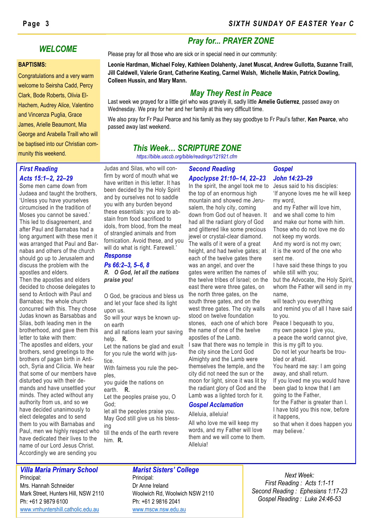#### **BAPTISMS:**

Congratulations and a very warm welcome to Seirsha Cadd, Percy Clark, Bode Roberts, Olivia El-Hachem, Audrey Alice, Valentino and Vincenza Puglia, Grace James, Arielle Beaumont, Mia George and Arabella Traill who will be baptised into our Christian community this weekend.

#### **Page 3** *SIXTH SUNDAY OF EASTER Year C*

### *Pray for... PRAYER ZONE*

**WELCOME**<br>Please pray for all those who are sick or in special need in our community:

**Leonie Hardman, Michael Foley, Kathleen Dolahenty, Janet Muscat, Andrew Gullotta, Suzanne Traill, Jill Caldwell, Valerie Grant, Catherine Keating, Carmel Walsh, Michelle Makin, Patrick Dowling, Colleen Hussin, and Mary Mann.**

### *May They Rest in Peace*

Last week we prayed for a little girl who was gravely ill, sadly little **Amelie Gutierrez**, passed away on Wednesday. We pray for her and her family at this very difficult time.

We also pray for Fr Paul Pearce and his family as they say goodbye to Fr Paul's father, **Ken Pearce**, who passed away last weekend.

## *This Week… SCRIPTURE ZONE*

*https://bible.usccb.org/bible/readings/121921.cfm*

#### *First Reading Acts 15:1–2, 22–29*

Some men came down from Judaea and taught the brothers, 'Unless you have yourselves circumcised in the tradition of Moses you cannot be saved.' This led to disagreement, and after Paul and Barnabas had a long argument with these men it was arranged that Paul and Barnabas and others of the church should go up to Jerusalem and discuss the problem with the apostles and elders.

Then the apostles and elders decided to choose delegates to send to Antioch with Paul and Barnabas; the whole church concurred with this. They chose Judas known as Barsabbas and Silas, both leading men in the brotherhood, and gave them this letter to take with them:

'The apostles and elders, your brothers, send greetings to the brothers of pagan birth in Antioch, Syria and Cilicia. We hear that some of our members have disturbed you with their demands and have unsettled your minds. They acted without any authority from us, and so we have decided unanimously to elect delegates and to send them to you with Barnabas and Paul, men we highly respect who have dedicated their lives to the name of our Lord Jesus Christ. Accordingly we are sending you

Judas and Silas, who will confirm by word of mouth what we have written in this letter. It has been decided by the Holy Spirit and by ourselves not to saddle you with any burden beyond these essentials: you are to abstain from food sacrificed to idols, from blood, from the meat of strangled animals and from fornication. Avoid these, and you will do what is right. Farewell.' *Response*

#### *Ps 66:2–3, 5–6, 8 R. O God, let all the nations praise you!*

O God, be gracious and bless us and let your face shed its light upon us.

So will your ways be known upon earth

and all nations learn your saving help. **R.**

Let the nations be glad and exult for you rule the world with justice.

With fairness you rule the peoples,

you guide the nations on earth. **R.**

Let the peoples praise you, O God;

let all the peoples praise you. May God still give us his blessing

till the ends of the earth revere him. **R.**

# *Apoclypse 21:10–14, 22–23*

In the spirit, the angel took me to the top of an enormous high mountain and showed me Jerusalem, the holy city, coming down from God out of heaven. It had all the radiant glory of God and glittered like some precious jewel or crystal-clear diamond. The walls of it were of a great height, and had twelve gates; at each of the twelve gates there was an angel, and over the gates were written the names of the twelve tribes of Israel; on the east there were three gates, on the north three gates, on the south three gates, and on the west three gates. The city walls stood on twelve foundation stones, each one of which bore the name of one of the twelve apostles of the Lamb. I saw that there was no temple in the city since the Lord God Almighty and the Lamb were themselves the temple, and the city did not need the sun or the moon for light, since it was lit by the radiant glory of God and the

Lamb was a lighted torch for it.

All who love me will keep my words, and my Father will love them and we will come to them.

*Gospel Acclamation* Alleluia, alleluia!

Alleluia!

#### *Gospel John 14:23–29* Jesus said to his disciples:

'If anyone loves me he will keep my word, and my Father will love him, and we shall come to him and make our home with him. Those who do not love me do not keep my words. And my word is not my own; it is the word of the one who sent me. I have said these things to you while still with you; but the Advocate, the Holy Spirit, whom the Father will send in my name, will teach you everything and remind you of all I have said to you. Peace I bequeath to you, my own peace I give you, a peace the world cannot give, this is my gift to you. Do not let your hearts be troubled or afraid. You heard me say: I am going away, and shall return. If you loved me you would have been glad to know that I am going to the Father, for the Father is greater than I. I have told you this now, before it happens,

so that when it does happen you may believe.'

#### *Villa Maria Primary School* Principal:

Mrs. Hannah Schneider Mark Street, Hunters Hill, NSW 2110 Ph: +61 2 9879 6100 www.vmhuntershill.catholic.edu.au

#### *Marist Sisters' College*

Principal: Dr Anne Ireland Woolwich Rd, Woolwich NSW 2110 Ph: +61 2 9816 2041 [www.mscw.nsw.edu.au](http://www.mscw.nsw.edu.au)

*Next Week: First Reading : Acts 1:1-11 Second Reading : Ephesians 1:17-23 Gospel Reading : Luke 24:46-53*

# *Second Reading*